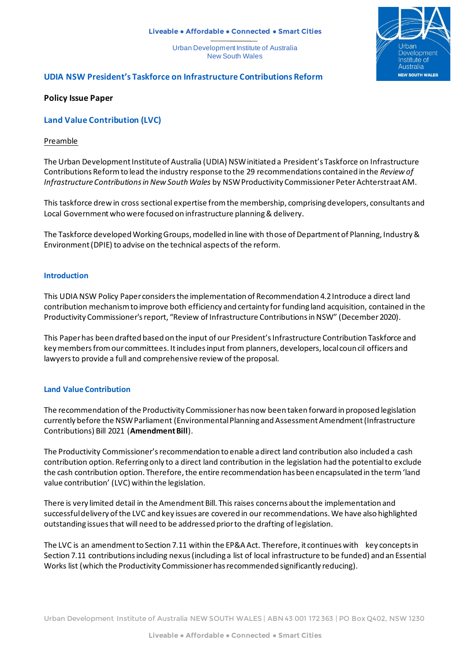#### **Liveable ● Affordable ● Connected ● Smart Cities**

Urban Development Institute of Australia New South Wales



# **UDIA NSW President's Taskforce on Infrastructure Contributions Reform**

### **Policy Issue Paper**

## **Land Value Contribution (LVC)**

#### Preamble

The Urban Development Institute of Australia (UDIA) NSW initiated a President's Taskforce on Infrastructure Contributions Reform to lead the industry response to the 29 recommendations contained in the *Review of Infrastructure Contributions in New South Wales* by NSW Productivity Commissioner Peter Achterstraat AM.

This taskforce drew in cross sectional expertise from the membership, comprising developers, consultants and Local Government who were focused on infrastructure planning & delivery.

The Taskforce developed Working Groups, modelled in line with those of Department of Planning, Industry & Environment (DPIE) to advise on the technical aspects of the reform.

### **Introduction**

This UDIA NSW Policy Paper considers the implementation of Recommendation 4.2 Introduce a direct land contribution mechanism to improve both efficiency and certainty for funding land acquisition, contained in the Productivity Commissioner's report, "Review of Infrastructure Contributions in NSW" (December 2020).

This Paper has been drafted based on the input of our President's Infrastructure Contribution Taskforce and key members from our committees. It includes input from planners, developers, local council officers and lawyers to provide a full and comprehensive review of the proposal.

## **Land Value Contribution**

The recommendation of the Productivity Commissioner has now been taken forward in proposed legislation currently before the NSW Parliament (Environmental Planning and Assessment Amendment (Infrastructure Contributions) Bill 2021 (**Amendment Bill**).

The Productivity Commissioner's recommendation to enable a direct land contribution also included a cash contribution option. Referring only to a direct land contribution in the legislation had the potential to exclude the cash contribution option. Therefore, the entire recommendation has been encapsulated in the term 'land value contribution' (LVC) within the legislation.

There is very limited detail in the Amendment Bill. This raises concerns about the implementation and successful delivery of the LVC and key issues are covered in our recommendations. We have also highlighted outstanding issues that will need to be addressed prior to the drafting of legislation.

The LVC is an amendment to Section 7.11 within the EP&A Act. Therefore, it continues with key concepts in Section 7.11 contributions including nexus (including a list of local infrastructure to be funded) and an Essential Works list (which the Productivity Commissioner has recommended significantly reducing).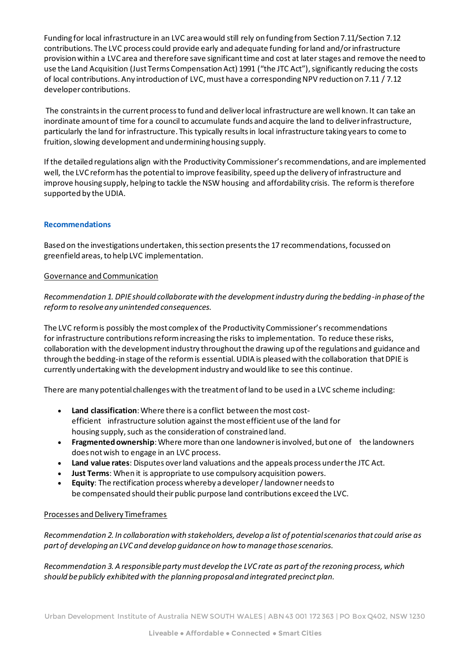Funding for local infrastructure in an LVC area would still rely on funding from Section 7.11/Section 7.12 contributions. The LVC process could provide early and adequate funding for land and/or infrastructure provision within a LVC area and therefore save significant time and cost at later stages and remove the need to use the Land Acquisition (Just Terms Compensation Act) 1991 ("the JTC Act"), significantly reducing the costs of local contributions. Any introduction of LVC, must have a corresponding NPV reduction on 7.11 / 7.12 developer contributions.

The constraints in the current process to fund and deliver local infrastructure are well known. It can take an inordinate amount of time for a council to accumulate funds and acquire the land to deliver infrastructure, particularly the land for infrastructure. This typically results in local infrastructure taking years to come to fruition, slowing development and undermining housing supply.

If the detailed regulations align with the Productivity Commissioner's recommendations, and are implemented well, the LVC reform has the potential to improve feasibility, speed up the delivery of infrastructure and improve housing supply, helping to tackle the NSW housing and affordability crisis. The reform is therefore supported by the UDIA.

## **Recommendations**

Based on the investigations undertaken, this section presents the 17 recommendations, focussed on greenfield areas, to help LVC implementation.

## Governance and Communication

## *Recommendation 1. DPIE should collaborate with the development industry during the bedding-in phase of the reform to resolve any unintended consequences.*

The LVC reform is possibly the most complex of the Productivity Commissioner's recommendations for infrastructure contributions reform increasing the risks to implementation. To reduce these risks, collaboration with the development industry throughout the drawing up of the regulations and guidance and through the bedding-in stage of the reform is essential. UDIA is pleased with the collaboration that DPIE is currently undertaking with the developmentindustry and would like to see this continue.

There are many potential challenges with the treatment of land to be used in a LVC scheme including:

- **Land classification**: Where there is a conflict between the most costefficient infrastructure solution against the most efficient use of the land for housing supply, such as the consideration of constrained land.
- **Fragmented ownership**: Where more than one landowner is involved, but one of the landowners does not wish to engage in an LVC process.
- **Land value rates**: Disputes overland valuations and the appeals process under the JTC Act.
- **Just Terms**: When it is appropriate to use compulsory acquisition powers.
- **Equity**: The rectification process whereby a developer / landowner needs to be compensated should their public purpose land contributions exceed the LVC.

## Processes and Delivery Timeframes

*Recommendation 2. In collaboration with stakeholders, develop a list of potential scenarios that could arise as part of developing an LVC and develop guidance on how to manage those scenarios.*

*Recommendation 3. A responsible party must develop the LVC rate as part of the rezoning process, which should be publicly exhibited with the planning proposal and integrated precinct plan.*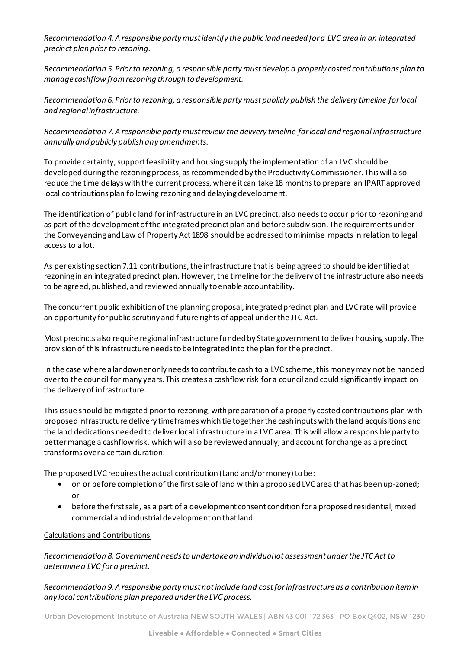*Recommendation 4. A responsible party must identify the public land needed for a LVC area in an integrated precinct plan prior to rezoning.*

*Recommendation 5. Prior to rezoning, a responsible party must develop a properly costed contributions plan to manage cashflow from rezoning through to development.*

*Recommendation 6. Prior to rezoning, a responsible party must publicly publish the delivery timeline for local and regional infrastructure.*

*Recommendation 7. A responsible party must review the delivery timeline for local and regional infrastructure annually and publicly publish any amendments.*

To provide certainty, support feasibility and housing supply the implementation of an LVC should be developed during the rezoning process, as recommended by the Productivity Commissioner. This will also reduce the time delays with the current process, where it can take 18 months to prepare an IPART approved local contributions plan following rezoning and delaying development.

The identification of public land for infrastructure in an LVC precinct, also needs to occur prior to rezoning and as part of the development of the integrated precinct plan and before subdivision. The requirements under the Conveyancing and Law of Property Act 1898 should be addressed to minimise impacts in relation to legal access to a lot.

As per existing section 7.11 contributions, the infrastructure that is being agreed to should be identified at rezoning in an integrated precinct plan. However, the timeline for the delivery of the infrastructure also needs to be agreed, published, and reviewed annually to enable accountability.

The concurrent public exhibition of the planning proposal, integrated precinct plan and LVC rate will provide an opportunity for public scrutiny and future rights of appeal under the JTC Act.

Most precincts also require regional infrastructure funded by State government to deliver housing supply. The provision of this infrastructure needs to be integrated into the plan for the precinct.

In the case where a landowner only needs to contribute cash to a LVC scheme, this money may not be handed over to the council for many years. This creates a cashflow risk for a council and could significantly impact on the delivery of infrastructure.

This issue should be mitigated prior to rezoning, with preparation of a properly costed contributions plan with proposed infrastructure delivery timeframes which tie together the cash inputs with the land acquisitions and the land dedications needed to deliver local infrastructure in a LVC area. This will allow a responsible party to better manage a cashflow risk, which will also be reviewed annually, and account for change as a precinct transforms over a certain duration.

The proposed LVC requires the actual contribution (Land and/or money) to be:

- on or before completion of the first sale of land within a proposed LVC area that has been up-zoned; or
- before the first sale, as a part of a development consent condition for a proposed residential, mixed commercial and industrial development on that land.

#### Calculations and Contributions

*Recommendation 8.Government needs to undertake an individual lot assessment under the JTC Act to determine a LVC for a precinct.* 

*Recommendation 9. A responsible party must not include land cost for infrastructure as a contribution item in any local contributions plan prepared under the LVC process.*

Urban Development Institute of Australia NEW SOUTH WALES | ABN 43 001 172 363 | PO Box Q402, NSW 1230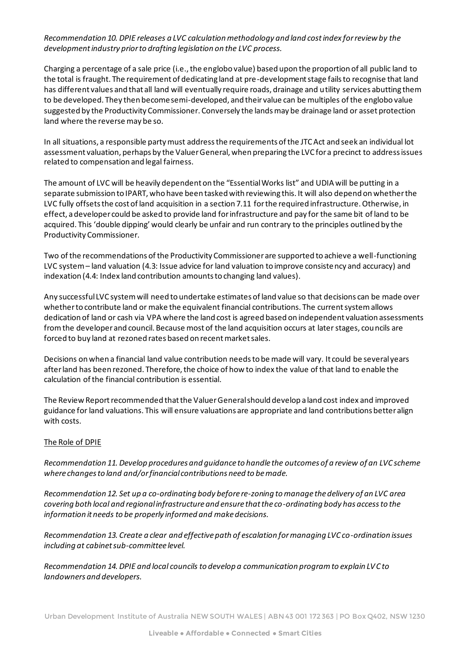## *Recommendation 10. DPIE releases a LVC calculation methodology and land cost index for review by the development industry prior to drafting legislation on the LVC process.*

Charging a percentage of a sale price (i.e., the englobo value) based upon the proportion of all public land to the total is fraught. The requirement of dedicating land at pre-development stage fails to recognise that land has different values and that all land will eventually require roads, drainage and utility services abutting them to be developed. They then become semi-developed, and their value can be multiples of the englobo value suggested by the Productivity Commissioner. Conversely the lands may be drainage land or asset protection land where the reverse may be so.

In all situations, a responsible party must address the requirements of the JTC Act and seek an individual lot assessment valuation, perhaps by the Valuer General, when preparing the LVC for a precinct to address issues related to compensation and legal fairness.

The amount of LVC will be heavily dependent on the "Essential Works list" and UDIA will be putting in a separate submission to IPART, who have been tasked with reviewing this. It will also depend on whether the LVC fully offsets the cost of land acquisition in a section 7.11 for the required infrastructure. Otherwise, in effect, a developer could be asked to provide land for infrastructure and pay for the same bit of land to be acquired. This 'double dipping' would clearly be unfair and run contrary to the principles outlined by the Productivity Commissioner.

Two of the recommendations of the Productivity Commissioner are supported to achieve a well-functioning LVC system – land valuation (4.3: Issue advice for land valuation to improve consistency and accuracy) and indexation (4.4: Index land contribution amounts to changing land values).

Any successful LVC system will need to undertake estimates of land value so that decisions can be made over whether to contribute land or make the equivalent financial contributions. The current system allows dedication of land or cash via VPA where the land cost is agreed based on independent valuation assessments from the developer and council. Because most of the land acquisition occurs at later stages, councils are forced to buy land at rezoned rates based on recent market sales.

Decisions on when a financial land value contribution needs to be made will vary. It could be several years after land has been rezoned. Therefore, the choice of how to index the value of that land to enable the calculation of the financial contribution is essential.

The Review Report recommended that the Valuer General should develop a land cost index and improved guidance for land valuations. This will ensure valuations are appropriate and land contributions better align with costs.

## The Role of DPIE

*Recommendation 11.Develop procedures and guidance to handle the outcomes of a review of an LVC scheme where changes to land and/or financial contributions need to be made.*

*Recommendation 12. Set up a co-ordinating body before re-zoning to manage the delivery of an LVC area covering both local and regional infrastructure and ensure that the co-ordinating body has access to the information it needs to be properly informed and make decisions.*

*Recommendation 13. Create a clear and effective path of escalation for managing LVC co-ordination issues including at cabinet sub-committee level.*

*Recommendation 14.DPIE and local councils to develop a communication program to explain LVC to landowners and developers.*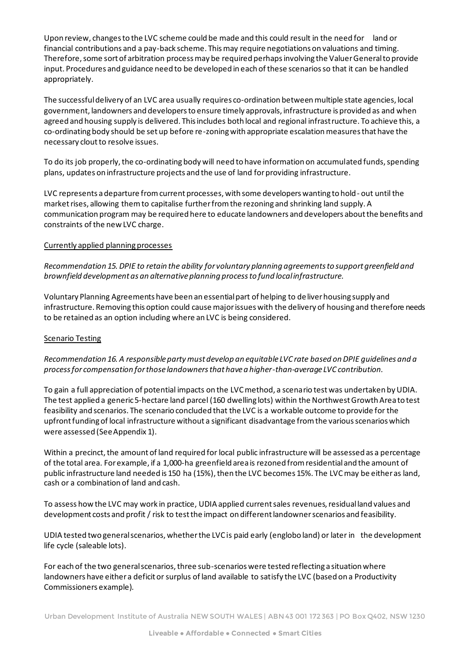Upon review, changes to the LVC scheme could be made and this could result in the need for land or financial contributions and a pay-back scheme. This may require negotiations on valuations and timing. Therefore, some sort of arbitration process may be required perhaps involving the Valuer General to provide input. Procedures and guidance need to be developed in each of these scenarios so that it can be handled appropriately.

The successful delivery of an LVC area usually requires co-ordination between multiple state agencies, local government, landowners and developers to ensure timely approvals, infrastructure is provided as and when agreed and housing supply is delivered. This includes both local and regional infrastructure. To achieve this, a co-ordinating body should be set up before re-zoning with appropriate escalation measures that have the necessary clout to resolve issues.

To do its job properly, the co-ordinating body will need to have information on accumulated funds, spending plans, updates on infrastructure projects and the use of land for providing infrastructure.

LVC represents a departure from current processes, with some developers wanting to hold- out until the market rises, allowing them to capitalise further from the rezoning and shrinking land supply. A communication program may be required here to educate landowners and developers about the benefits and constraints of the new LVC charge.

### Currently applied planning processes

## *Recommendation 15.DPIE to retain the ability for voluntary planning agreements to support greenfield and brownfield development as an alternative planning process to fund local infrastructure.*

Voluntary Planning Agreements have been an essential part of helping to deliver housing supply and infrastructure. Removing this option could cause major issues with the delivery of housing and therefore needs to be retained as an option including where an LVC is being considered.

#### Scenario Testing

## *Recommendation 16. A responsible party must develop an equitable LVC rate based on DPIE guidelines and a process for compensation for those landowners that have a higher-than-average LVC contribution.*

To gain a full appreciation of potential impacts on the LVC method, a scenario test was undertaken by UDIA. The test applied a generic 5-hectare land parcel (160 dwelling lots) within the Northwest Growth Area to test feasibility and scenarios. The scenario concluded that the LVC is a workable outcome to provide for the upfront funding of local infrastructure without a significant disadvantage from the various scenarios which were assessed (See Appendix 1).

Within a precinct, the amount of land required for local public infrastructure will be assessed as a percentage of the total area. For example, if a 1,000-ha greenfield area is rezoned from residential and the amount of public infrastructure land needed is 150 ha (15%), then the LVC becomes 15%. The LVC may be either as land, cash or a combination of land and cash.

To assess how the LVC may work in practice, UDIA applied current sales revenues, residual land values and development costs and profit / risk to test the impact on different landowner scenarios and feasibility.

UDIA tested two general scenarios, whether the LVC is paid early (englobo land) or later in the development life cycle (saleable lots).

For each of the two general scenarios, three sub-scenarios were tested reflecting a situation where landowners have either a deficit or surplus of land available to satisfy the LVC (based on a Productivity Commissioners example).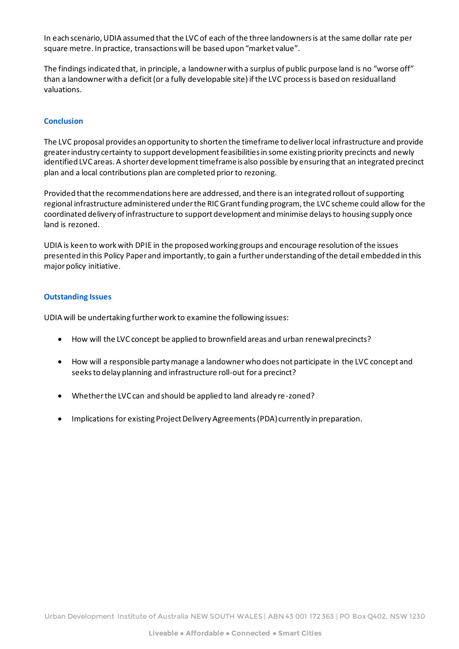In each scenario, UDIA assumed that the LVC of each of the three landowners is at the same dollar rate per square metre. In practice, transactions will be based upon "market value".

The findings indicated that, in principle, a landowner with a surplus of public purpose land is no "worse off" than a landowner with a deficit (or a fully developable site) if the LVC process is based on residual land valuations.

#### **Conclusion**

The LVC proposal provides an opportunity to shorten the timeframe to deliver local infrastructure and provide greater industry certainty to support development feasibilities in some existing priority precincts and newly identified LVC areas. A shorter development timeframe is also possible by ensuring that an integrated precinct plan and a local contributions plan are completed prior to rezoning.

Provided that the recommendations here are addressed, and there is an integrated rollout of supporting regional infrastructure administered under the RIC Grant funding program, the LVC scheme could allow for the coordinated delivery of infrastructure to support development and minimise delays to housing supply once land is rezoned.

UDIA is keen to work with DPIE in the proposed working groups and encourage resolution of the issues presented in this Policy Paper and importantly, to gain a further understanding of the detail embedded in this major policy initiative.

#### **Outstanding Issues**

UDIA will be undertaking further work to examine the following issues:

- How will the LVC concept be applied to brownfield areas and urban renewal precincts?
- How will a responsible party manage a landowner who does not participate in the LVC concept and seeks to delay planning and infrastructure roll-out for a precinct?
- Whether the LVC can and should be applied to land already re-zoned?
- Implications for existing Project Delivery Agreements (PDA) currently in preparation.